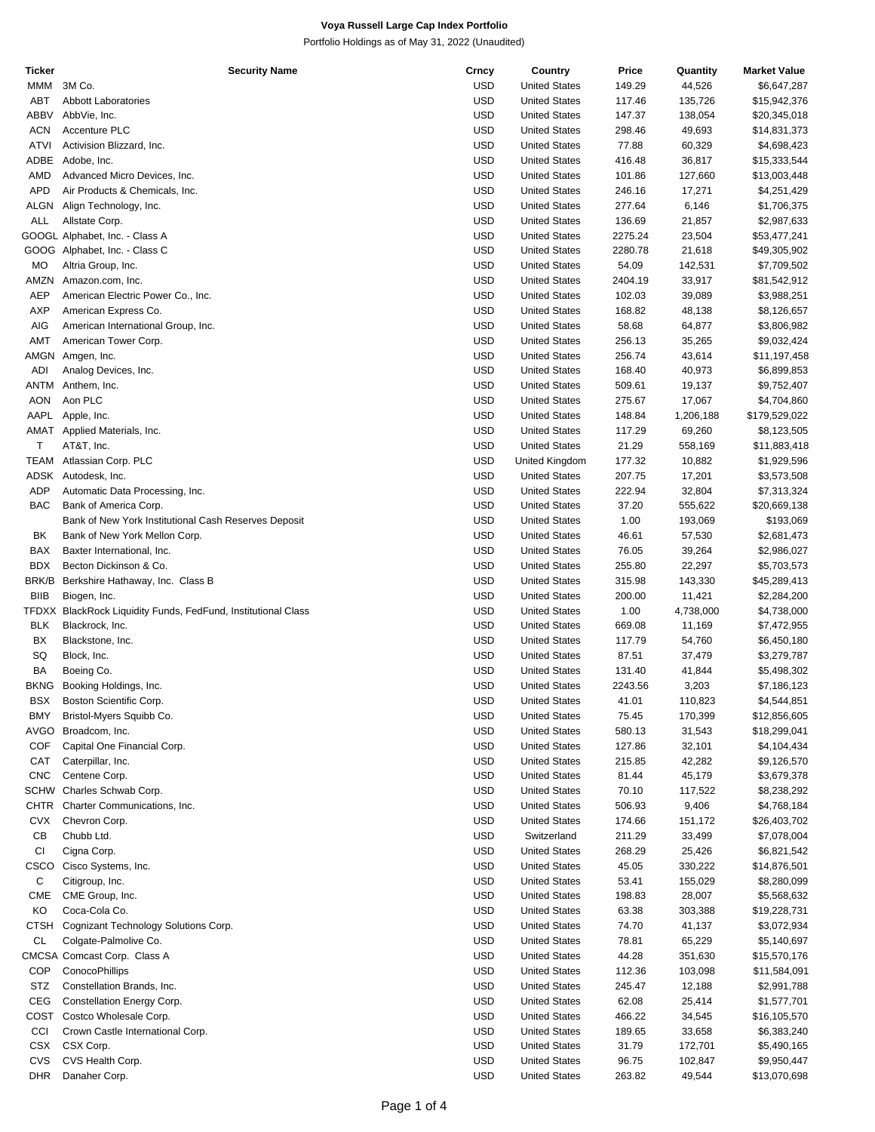Portfolio Holdings as of May 31, 2022 (Unaudited)

| <b>Ticker</b> | <b>Security Name</b>                                          | Crncy      | Country              | Price   | Quantity  | <b>Market Value</b> |
|---------------|---------------------------------------------------------------|------------|----------------------|---------|-----------|---------------------|
| MMM           | 3M Co.                                                        | USD        | <b>United States</b> | 149.29  | 44,526    | \$6,647,287         |
| ABT           | <b>Abbott Laboratories</b>                                    | USD        | <b>United States</b> | 117.46  | 135,726   | \$15,942,376        |
| ABBV          | AbbVie, Inc.                                                  | USD        | <b>United States</b> | 147.37  | 138,054   | \$20,345,018        |
|               |                                                               |            |                      |         |           |                     |
| <b>ACN</b>    | Accenture PLC                                                 | USD        | <b>United States</b> | 298.46  | 49,693    | \$14,831,373        |
| <b>ATVI</b>   | Activision Blizzard, Inc.                                     | USD        | <b>United States</b> | 77.88   | 60,329    | \$4,698,423         |
| ADBE          | Adobe, Inc.                                                   | USD        | <b>United States</b> | 416.48  | 36,817    | \$15,333,544        |
| AMD           | Advanced Micro Devices, Inc.                                  | USD        | <b>United States</b> | 101.86  | 127,660   | \$13,003,448        |
| APD           | Air Products & Chemicals, Inc.                                | USD        | <b>United States</b> | 246.16  | 17,271    | \$4,251,429         |
| ALGN          | Align Technology, Inc.                                        | USD        | <b>United States</b> | 277.64  | 6,146     | \$1,706,375         |
| <b>ALL</b>    | Allstate Corp.                                                | USD        | <b>United States</b> | 136.69  |           | \$2,987,633         |
|               |                                                               |            |                      |         | 21,857    |                     |
|               | GOOGL Alphabet, Inc. - Class A                                | USD        | <b>United States</b> | 2275.24 | 23,504    | \$53,477,241        |
|               | GOOG Alphabet, Inc. - Class C                                 | USD        | <b>United States</b> | 2280.78 | 21,618    | \$49,305,902        |
| MO            | Altria Group, Inc.                                            | USD        | <b>United States</b> | 54.09   | 142,531   | \$7,709,502         |
| AMZN          | Amazon.com, Inc.                                              | USD        | <b>United States</b> | 2404.19 | 33,917    | \$81,542,912        |
| <b>AEP</b>    | American Electric Power Co., Inc.                             | USD        | <b>United States</b> | 102.03  | 39,089    | \$3,988,251         |
| AXP           | American Express Co.                                          | USD        | <b>United States</b> | 168.82  | 48,138    | \$8,126,657         |
|               |                                                               |            |                      |         |           |                     |
| AIG           | American International Group, Inc.                            | USD        | <b>United States</b> | 58.68   | 64,877    | \$3,806,982         |
| AMT           | American Tower Corp.                                          | USD        | <b>United States</b> | 256.13  | 35,265    | \$9,032,424         |
| AMGN          | Amgen, Inc.                                                   | USD        | <b>United States</b> | 256.74  | 43,614    | \$11,197,458        |
| ADI           | Analog Devices, Inc.                                          | USD        | <b>United States</b> | 168.40  | 40,973    | \$6,899,853         |
| <b>ANTM</b>   | Anthem, Inc.                                                  | USD        | <b>United States</b> | 509.61  | 19,137    | \$9,752,407         |
| <b>AON</b>    | Aon PLC                                                       | USD        | <b>United States</b> | 275.67  | 17,067    | \$4,704,860         |
|               |                                                               |            |                      |         |           |                     |
| AAPL          | Apple, Inc.                                                   | USD        | <b>United States</b> | 148.84  | 1,206,188 | \$179,529,022       |
|               | AMAT Applied Materials, Inc.                                  | USD        | <b>United States</b> | 117.29  | 69,260    | \$8,123,505         |
| Τ             | AT&T, Inc.                                                    | USD        | <b>United States</b> | 21.29   | 558,169   | \$11,883,418        |
| <b>TEAM</b>   | Atlassian Corp. PLC                                           | USD        | United Kingdom       | 177.32  | 10,882    | \$1,929,596         |
| ADSK          | Autodesk, Inc.                                                | USD        | <b>United States</b> | 207.75  | 17,201    | \$3,573,508         |
|               |                                                               |            |                      |         |           |                     |
| ADP           | Automatic Data Processing, Inc.                               | USD        | <b>United States</b> | 222.94  | 32,804    | \$7,313,324         |
| <b>BAC</b>    | Bank of America Corp.                                         | USD        | <b>United States</b> | 37.20   | 555,622   | \$20,669,138        |
|               | Bank of New York Institutional Cash Reserves Deposit          | USD        | <b>United States</b> | 1.00    | 193,069   | \$193,069           |
| BK            | Bank of New York Mellon Corp.                                 | USD        | <b>United States</b> | 46.61   | 57,530    | \$2,681,473         |
| BAX           | Baxter International, Inc.                                    | USD        | <b>United States</b> | 76.05   | 39,264    | \$2,986,027         |
|               |                                                               |            |                      |         |           |                     |
| <b>BDX</b>    | Becton Dickinson & Co.                                        | USD        | <b>United States</b> | 255.80  | 22,297    | \$5,703,573         |
| BRK/B         | Berkshire Hathaway, Inc. Class B                              | USD        | <b>United States</b> | 315.98  | 143,330   | \$45,289,413        |
| <b>BIIB</b>   | Biogen, Inc.                                                  | USD        | <b>United States</b> | 200.00  | 11,421    | \$2,284,200         |
|               | TFDXX BlackRock Liquidity Funds, FedFund, Institutional Class | USD        | <b>United States</b> | 1.00    | 4,738,000 | \$4,738,000         |
| <b>BLK</b>    | Blackrock, Inc.                                               | USD        | <b>United States</b> | 669.08  | 11,169    | \$7,472,955         |
|               |                                                               |            |                      |         |           |                     |
| BX            | Blackstone, Inc.                                              | USD        | <b>United States</b> | 117.79  | 54,760    | \$6,450,180         |
| SQ            | Block, Inc.                                                   | USD        | <b>United States</b> | 87.51   | 37,479    | \$3,279,787         |
| BA            | Boeing Co.                                                    | USD        | <b>United States</b> | 131.40  | 41,844    | \$5,498,302         |
| <b>BKNG</b>   | Booking Holdings, Inc.                                        | USD        | <b>United States</b> | 2243.56 | 3,203     | \$7,186,123         |
| BSX           | Boston Scientific Corp.                                       | <b>USD</b> | <b>United States</b> | 41.01   | 110,823   | \$4,544,851         |
| BMY           | Bristol-Myers Squibb Co.                                      | <b>USD</b> | <b>United States</b> | 75.45   | 170,399   | \$12,856,605        |
|               |                                                               |            |                      |         |           |                     |
| AVGO          | Broadcom, Inc.                                                | USD        | <b>United States</b> | 580.13  | 31,543    | \$18,299,041        |
| COF           | Capital One Financial Corp.                                   | <b>USD</b> | <b>United States</b> | 127.86  | 32,101    | \$4,104,434         |
| CAT           | Caterpillar, Inc.                                             | <b>USD</b> | <b>United States</b> | 215.85  | 42,282    | \$9,126,570         |
| <b>CNC</b>    | Centene Corp.                                                 | <b>USD</b> | <b>United States</b> | 81.44   | 45,179    | \$3,679,378         |
|               | SCHW Charles Schwab Corp.                                     | USD        | <b>United States</b> | 70.10   | 117,522   | \$8,238,292         |
| <b>CHTR</b>   | Charter Communications, Inc.                                  | USD        | <b>United States</b> |         |           |                     |
|               |                                                               |            |                      | 506.93  | 9,406     | \$4,768,184         |
| <b>CVX</b>    | Chevron Corp.                                                 | USD        | <b>United States</b> | 174.66  | 151,172   | \$26,403,702        |
| CB            | Chubb Ltd.                                                    | <b>USD</b> | Switzerland          | 211.29  | 33,499    | \$7,078,004         |
| СI            | Cigna Corp.                                                   | USD        | <b>United States</b> | 268.29  | 25,426    | \$6,821,542         |
| CSCO          | Cisco Systems, Inc.                                           | <b>USD</b> | <b>United States</b> | 45.05   | 330,222   | \$14,876,501        |
| С             |                                                               | USD        | <b>United States</b> |         |           |                     |
|               | Citigroup, Inc.                                               |            |                      | 53.41   | 155,029   | \$8,280,099         |
| <b>CME</b>    | CME Group, Inc.                                               | <b>USD</b> | <b>United States</b> | 198.83  | 28,007    | \$5,568,632         |
| KO            | Coca-Cola Co.                                                 | USD        | <b>United States</b> | 63.38   | 303,388   | \$19,228,731        |
| CTSH          | Cognizant Technology Solutions Corp.                          | <b>USD</b> | <b>United States</b> | 74.70   | 41,137    | \$3,072,934         |
| CL            | Colgate-Palmolive Co.                                         | USD        | <b>United States</b> | 78.81   | 65,229    | \$5,140,697         |
|               | CMCSA Comcast Corp. Class A                                   | <b>USD</b> | <b>United States</b> | 44.28   | 351,630   | \$15,570,176        |
|               |                                                               |            |                      |         |           |                     |
| COP           | ConocoPhillips                                                | USD        | <b>United States</b> | 112.36  | 103,098   | \$11,584,091        |
| STZ           | Constellation Brands, Inc.                                    | <b>USD</b> | <b>United States</b> | 245.47  | 12,188    | \$2,991,788         |
| CEG           | Constellation Energy Corp.                                    | USD        | <b>United States</b> | 62.08   | 25,414    | \$1,577,701         |
| COST          | Costco Wholesale Corp.                                        | <b>USD</b> | <b>United States</b> | 466.22  | 34,545    | \$16,105,570        |
| CCI           | Crown Castle International Corp.                              | USD        | <b>United States</b> | 189.65  | 33,658    | \$6,383,240         |
|               |                                                               |            |                      |         |           |                     |
| CSX           | CSX Corp.                                                     | <b>USD</b> | <b>United States</b> | 31.79   | 172,701   | \$5,490,165         |
| CVS           | CVS Health Corp.                                              | <b>USD</b> | <b>United States</b> | 96.75   | 102,847   | \$9,950,447         |
| <b>DHR</b>    | Danaher Corp.                                                 | USD        | <b>United States</b> | 263.82  | 49,544    | \$13,070,698        |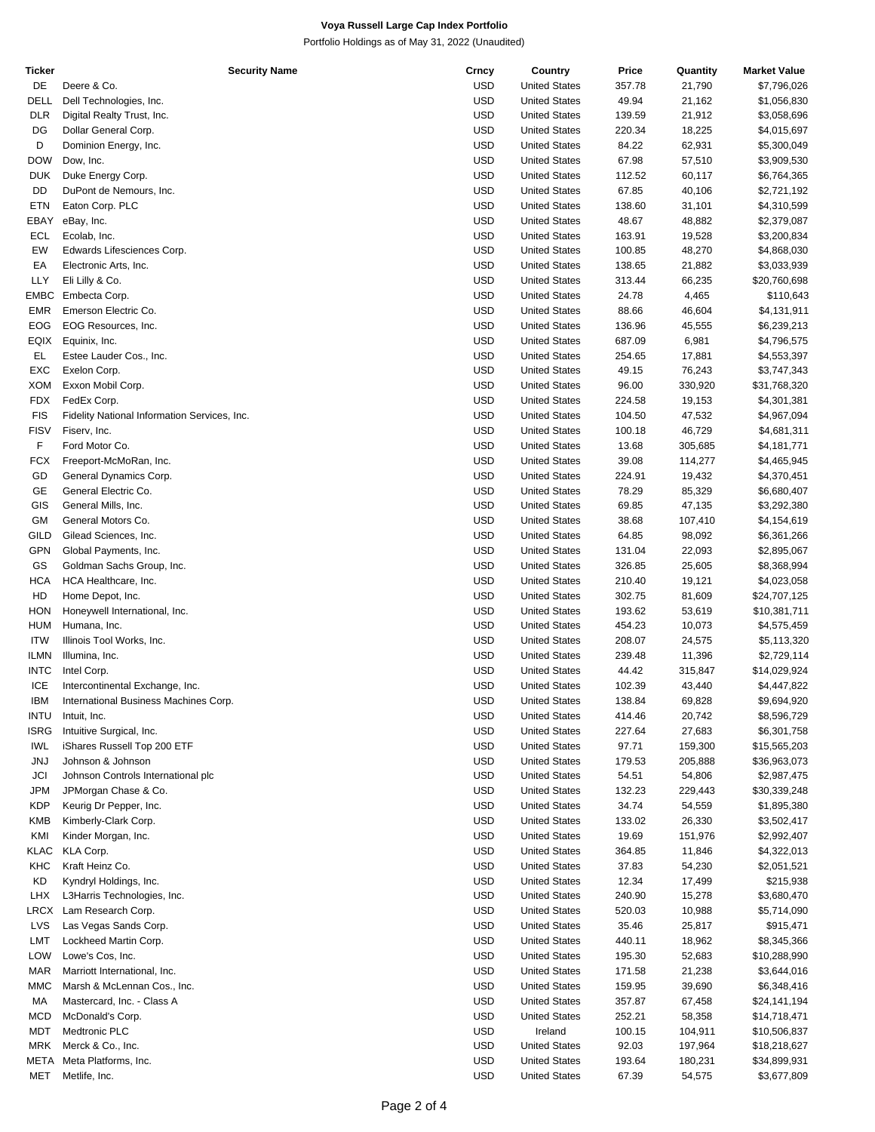Portfolio Holdings as of May 31, 2022 (Unaudited)

| Ticker      | <b>Security Name</b>                         | Crncy      | Country              | Price  | Quantity | <b>Market Value</b> |
|-------------|----------------------------------------------|------------|----------------------|--------|----------|---------------------|
| DE          | Deere & Co.                                  | <b>USD</b> | <b>United States</b> | 357.78 | 21,790   | \$7,796,026         |
| <b>DELL</b> | Dell Technologies, Inc.                      | <b>USD</b> | <b>United States</b> | 49.94  | 21,162   | \$1,056,830         |
| <b>DLR</b>  | Digital Realty Trust, Inc.                   | <b>USD</b> | <b>United States</b> | 139.59 | 21,912   | \$3,058,696         |
| DG          | Dollar General Corp.                         | <b>USD</b> | <b>United States</b> | 220.34 | 18,225   | \$4,015,697         |
| D           | Dominion Energy, Inc.                        | <b>USD</b> | <b>United States</b> | 84.22  | 62,931   | \$5,300,049         |
|             | Dow, Inc.                                    | <b>USD</b> |                      | 67.98  |          |                     |
| DOW         |                                              |            | <b>United States</b> |        | 57,510   | \$3,909,530         |
| <b>DUK</b>  | Duke Energy Corp.                            | <b>USD</b> | <b>United States</b> | 112.52 | 60,117   | \$6,764,365         |
| DD          | DuPont de Nemours, Inc.                      | <b>USD</b> | <b>United States</b> | 67.85  | 40,106   | \$2,721,192         |
| ETN         | Eaton Corp. PLC                              | <b>USD</b> | <b>United States</b> | 138.60 | 31,101   | \$4,310,599         |
| EBAY        | eBay, Inc.                                   | <b>USD</b> | <b>United States</b> | 48.67  | 48,882   | \$2,379,087         |
| ECL         | Ecolab, Inc.                                 | <b>USD</b> | <b>United States</b> | 163.91 | 19,528   | \$3,200,834         |
| EW          | Edwards Lifesciences Corp.                   | <b>USD</b> | <b>United States</b> | 100.85 | 48,270   | \$4,868,030         |
| EA          | Electronic Arts, Inc.                        | <b>USD</b> | <b>United States</b> | 138.65 | 21,882   | \$3,033,939         |
| <b>LLY</b>  | Eli Lilly & Co.                              | <b>USD</b> | <b>United States</b> | 313.44 | 66,235   | \$20,760,698        |
|             |                                              |            |                      |        |          |                     |
| EMBC        | Embecta Corp.                                | <b>USD</b> | <b>United States</b> | 24.78  | 4,465    | \$110,643           |
| EMR         | Emerson Electric Co.                         | <b>USD</b> | <b>United States</b> | 88.66  | 46,604   | \$4,131,911         |
| EOG         | EOG Resources, Inc.                          | <b>USD</b> | <b>United States</b> | 136.96 | 45,555   | \$6,239,213         |
| EQIX        | Equinix, Inc.                                | <b>USD</b> | <b>United States</b> | 687.09 | 6,981    | \$4,796,575         |
| EL.         | Estee Lauder Cos., Inc.                      | <b>USD</b> | <b>United States</b> | 254.65 | 17,881   | \$4,553,397         |
| EXC         | Exelon Corp.                                 | <b>USD</b> | <b>United States</b> | 49.15  | 76,243   | \$3,747,343         |
| <b>XOM</b>  | Exxon Mobil Corp.                            | <b>USD</b> | <b>United States</b> | 96.00  | 330,920  | \$31,768,320        |
| <b>FDX</b>  | FedEx Corp.                                  | <b>USD</b> | <b>United States</b> | 224.58 | 19,153   | \$4,301,381         |
|             |                                              |            |                      |        |          |                     |
| <b>FIS</b>  | Fidelity National Information Services, Inc. | <b>USD</b> | <b>United States</b> | 104.50 | 47,532   | \$4,967,094         |
| <b>FISV</b> | Fiserv, Inc.                                 | <b>USD</b> | <b>United States</b> | 100.18 | 46,729   | \$4,681,311         |
| F           | Ford Motor Co.                               | <b>USD</b> | <b>United States</b> | 13.68  | 305,685  | \$4,181,771         |
| <b>FCX</b>  | Freeport-McMoRan, Inc.                       | <b>USD</b> | <b>United States</b> | 39.08  | 114,277  | \$4,465,945         |
| GD          | General Dynamics Corp.                       | <b>USD</b> | <b>United States</b> | 224.91 | 19,432   | \$4,370,451         |
| GE          | General Electric Co.                         | <b>USD</b> | <b>United States</b> | 78.29  | 85,329   | \$6,680,407         |
| GIS         | General Mills, Inc.                          | <b>USD</b> | <b>United States</b> | 69.85  | 47,135   | \$3,292,380         |
| GM          |                                              | <b>USD</b> |                      | 38.68  |          |                     |
|             | General Motors Co.                           |            | <b>United States</b> |        | 107,410  | \$4,154,619         |
| <b>GILD</b> | Gilead Sciences, Inc.                        | <b>USD</b> | <b>United States</b> | 64.85  | 98,092   | \$6,361,266         |
| <b>GPN</b>  | Global Payments, Inc.                        | <b>USD</b> | <b>United States</b> | 131.04 | 22,093   | \$2,895,067         |
| GS          | Goldman Sachs Group, Inc.                    | <b>USD</b> | <b>United States</b> | 326.85 | 25,605   | \$8,368,994         |
| <b>HCA</b>  | HCA Healthcare, Inc.                         | <b>USD</b> | <b>United States</b> | 210.40 | 19,121   | \$4,023,058         |
| HD          | Home Depot, Inc.                             | <b>USD</b> | <b>United States</b> | 302.75 | 81,609   | \$24,707,125        |
| <b>HON</b>  | Honeywell International, Inc.                | <b>USD</b> | <b>United States</b> | 193.62 | 53,619   | \$10,381,711        |
| <b>HUM</b>  | Humana, Inc.                                 | <b>USD</b> | <b>United States</b> | 454.23 | 10,073   | \$4,575,459         |
| <b>ITW</b>  |                                              | <b>USD</b> |                      |        |          |                     |
|             | Illinois Tool Works, Inc.                    |            | <b>United States</b> | 208.07 | 24,575   | \$5,113,320         |
| ILMN        | Illumina, Inc.                               | <b>USD</b> | <b>United States</b> | 239.48 | 11,396   | \$2,729,114         |
| <b>INTC</b> | Intel Corp.                                  | <b>USD</b> | <b>United States</b> | 44.42  | 315,847  | \$14,029,924        |
| ICE         | Intercontinental Exchange, Inc.              | USD        | <b>United States</b> | 102.39 | 43,440   | \$4,447,822         |
| <b>IBM</b>  | International Business Machines Corp.        | <b>USD</b> | <b>United States</b> | 138.84 | 69,828   | \$9,694,920         |
| <b>INTU</b> | Intuit, Inc.                                 | <b>USD</b> | <b>United States</b> | 414.46 | 20,742   | \$8,596,729         |
| <b>ISRG</b> | Intuitive Surgical, Inc.                     | <b>USD</b> | <b>United States</b> | 227.64 | 27,683   | \$6,301,758         |
| IWL         | iShares Russell Top 200 ETF                  | USD        | <b>United States</b> | 97.71  | 159,300  | \$15,565,203        |
| <b>JNJ</b>  | Johnson & Johnson                            | <b>USD</b> | <b>United States</b> | 179.53 | 205,888  | \$36,963,073        |
|             |                                              |            |                      |        |          |                     |
| JCI         | Johnson Controls International plc           | <b>USD</b> | <b>United States</b> | 54.51  | 54,806   | \$2,987,475         |
| JPM         | JPMorgan Chase & Co.                         | <b>USD</b> | <b>United States</b> | 132.23 | 229,443  | \$30,339,248        |
| <b>KDP</b>  | Keurig Dr Pepper, Inc.                       | <b>USD</b> | <b>United States</b> | 34.74  | 54,559   | \$1,895,380         |
| KMB         | Kimberly-Clark Corp.                         | <b>USD</b> | <b>United States</b> | 133.02 | 26,330   | \$3,502,417         |
| KMI         | Kinder Morgan, Inc.                          | <b>USD</b> | <b>United States</b> | 19.69  | 151,976  | \$2,992,407         |
| KLAC        | KLA Corp.                                    | <b>USD</b> | <b>United States</b> | 364.85 | 11,846   | \$4,322,013         |
| KHC         | Kraft Heinz Co.                              | USD        | <b>United States</b> | 37.83  | 54,230   | \$2,051,521         |
| KD          | Kyndryl Holdings, Inc.                       | <b>USD</b> | <b>United States</b> | 12.34  | 17,499   | \$215,938           |
|             |                                              |            |                      |        |          |                     |
| LHX         | L3Harris Technologies, Inc.                  | <b>USD</b> | <b>United States</b> | 240.90 | 15,278   | \$3,680,470         |
| LRCX        | Lam Research Corp.                           | <b>USD</b> | <b>United States</b> | 520.03 | 10,988   | \$5,714,090         |
| LVS         | Las Vegas Sands Corp.                        | USD        | <b>United States</b> | 35.46  | 25,817   | \$915,471           |
| LMT         | Lockheed Martin Corp.                        | <b>USD</b> | <b>United States</b> | 440.11 | 18,962   | \$8,345,366         |
| LOW         | Lowe's Cos, Inc.                             | <b>USD</b> | <b>United States</b> | 195.30 | 52,683   | \$10,288,990        |
| MAR         | Marriott International, Inc.                 | <b>USD</b> | <b>United States</b> | 171.58 | 21,238   | \$3,644,016         |
| ММС         | Marsh & McLennan Cos., Inc.                  | USD        | <b>United States</b> | 159.95 | 39,690   | \$6,348,416         |
| МA          | Mastercard, Inc. - Class A                   | <b>USD</b> | <b>United States</b> |        |          |                     |
|             |                                              |            |                      | 357.87 | 67,458   | \$24,141,194        |
| MCD         | McDonald's Corp.                             | <b>USD</b> | <b>United States</b> | 252.21 | 58,358   | \$14,718,471        |
| MDT         | Medtronic PLC                                | USD        | Ireland              | 100.15 | 104,911  | \$10,506,837        |
| MRK         | Merck & Co., Inc.                            | USD        | <b>United States</b> | 92.03  | 197,964  | \$18,218,627        |
| META        | Meta Platforms, Inc.                         | <b>USD</b> | <b>United States</b> | 193.64 | 180,231  | \$34,899,931        |
| MET         | Metlife, Inc.                                | <b>USD</b> | <b>United States</b> | 67.39  | 54,575   | \$3,677,809         |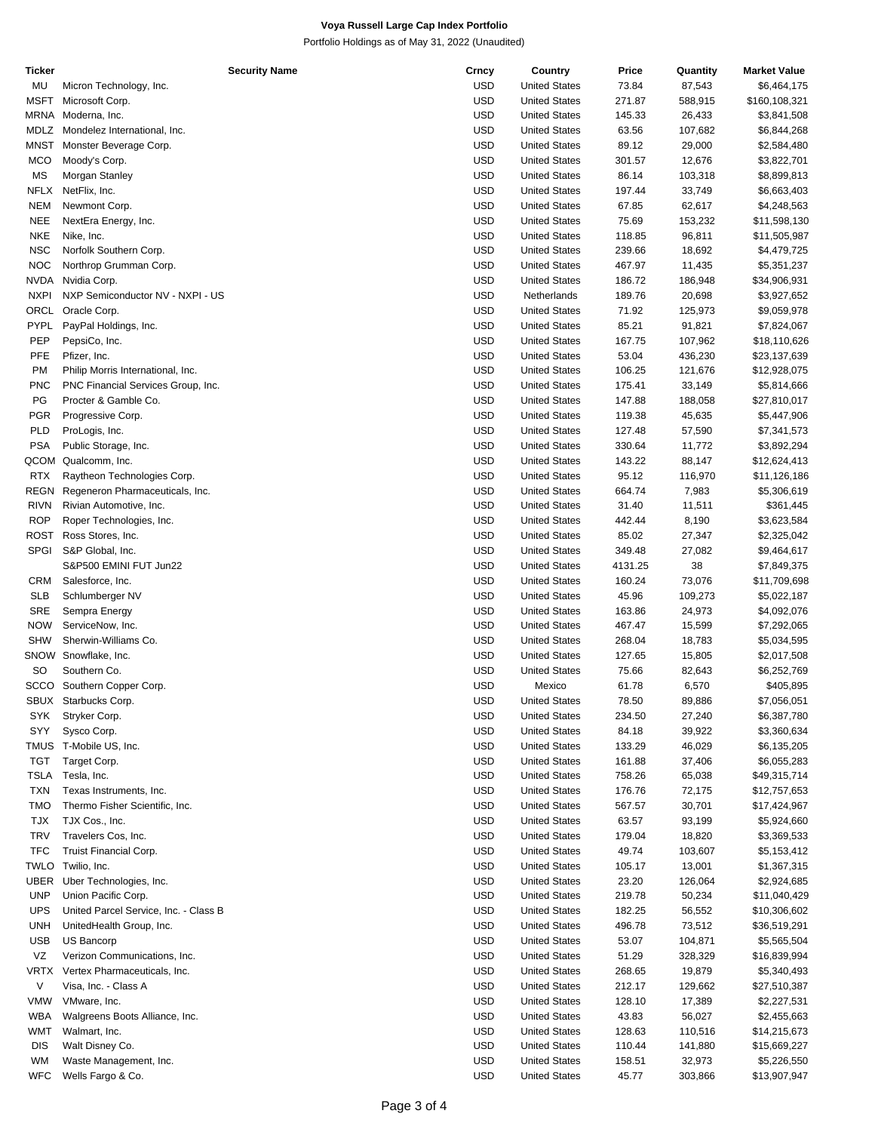Portfolio Holdings as of May 31, 2022 (Unaudited)

| Ticker      | <b>Security Name</b>                  | Crncy      | Country              | Price   | Quantity | <b>Market Value</b> |
|-------------|---------------------------------------|------------|----------------------|---------|----------|---------------------|
| MU          | Micron Technology, Inc.               | USD        | <b>United States</b> | 73.84   | 87,543   | \$6,464,175         |
| <b>MSFT</b> | Microsoft Corp.                       | USD        | <b>United States</b> | 271.87  | 588,915  | \$160,108,321       |
| MRNA        | Moderna, Inc.                         | <b>USD</b> | <b>United States</b> | 145.33  | 26,433   | \$3,841,508         |
|             |                                       | <b>USD</b> |                      |         |          |                     |
| MDLZ        | Mondelez International, Inc.          |            | <b>United States</b> | 63.56   | 107,682  | \$6,844,268         |
| <b>MNST</b> | Monster Beverage Corp.                | USD        | <b>United States</b> | 89.12   | 29,000   | \$2,584,480         |
| <b>MCO</b>  | Moody's Corp.                         | <b>USD</b> | <b>United States</b> | 301.57  | 12,676   | \$3,822,701         |
| MS          | Morgan Stanley                        | <b>USD</b> | <b>United States</b> | 86.14   | 103,318  | \$8,899,813         |
| <b>NFLX</b> | NetFlix, Inc.                         | <b>USD</b> | <b>United States</b> | 197.44  | 33,749   | \$6,663,403         |
| <b>NEM</b>  | Newmont Corp.                         | USD        | <b>United States</b> | 67.85   | 62,617   | \$4,248,563         |
| <b>NEE</b>  | NextEra Energy, Inc.                  | USD        | <b>United States</b> | 75.69   | 153,232  | \$11,598,130        |
| <b>NKE</b>  |                                       | <b>USD</b> |                      |         |          |                     |
|             | Nike, Inc.                            |            | <b>United States</b> | 118.85  | 96,811   | \$11,505,987        |
| <b>NSC</b>  | Norfolk Southern Corp.                | <b>USD</b> | <b>United States</b> | 239.66  | 18,692   | \$4,479,725         |
| <b>NOC</b>  | Northrop Grumman Corp.                | USD        | <b>United States</b> | 467.97  | 11,435   | \$5,351,237         |
| <b>NVDA</b> | Nvidia Corp.                          | <b>USD</b> | <b>United States</b> | 186.72  | 186,948  | \$34,906,931        |
| <b>NXPI</b> | NXP Semiconductor NV - NXPI - US      | <b>USD</b> | Netherlands          | 189.76  | 20,698   | \$3,927,652         |
| ORCL        | Oracle Corp.                          | <b>USD</b> | <b>United States</b> | 71.92   | 125,973  | \$9,059,978         |
| <b>PYPL</b> | PayPal Holdings, Inc.                 | USD        | <b>United States</b> | 85.21   | 91,821   | \$7,824,067         |
|             |                                       |            |                      |         |          |                     |
| PEP         | PepsiCo, Inc.                         | USD        | <b>United States</b> | 167.75  | 107,962  | \$18,110,626        |
| PFE         | Pfizer, Inc.                          | <b>USD</b> | <b>United States</b> | 53.04   | 436,230  | \$23,137,639        |
| <b>PM</b>   | Philip Morris International, Inc.     | <b>USD</b> | <b>United States</b> | 106.25  | 121,676  | \$12,928,075        |
| <b>PNC</b>  | PNC Financial Services Group, Inc.    | USD        | <b>United States</b> | 175.41  | 33,149   | \$5,814,666         |
| PG          | Procter & Gamble Co.                  | <b>USD</b> | <b>United States</b> | 147.88  | 188,058  | \$27,810,017        |
| <b>PGR</b>  | Progressive Corp.                     | <b>USD</b> | <b>United States</b> | 119.38  | 45,635   | \$5,447,906         |
| PLD         |                                       | <b>USD</b> |                      |         |          |                     |
|             | ProLogis, Inc.                        |            | <b>United States</b> | 127.48  | 57,590   | \$7,341,573         |
| <b>PSA</b>  | Public Storage, Inc.                  | USD        | <b>United States</b> | 330.64  | 11,772   | \$3,892,294         |
| QCOM        | Qualcomm, Inc.                        | USD        | <b>United States</b> | 143.22  | 88,147   | \$12,624,413        |
| <b>RTX</b>  | Raytheon Technologies Corp.           | <b>USD</b> | <b>United States</b> | 95.12   | 116,970  | \$11,126,186        |
| REGN        | Regeneron Pharmaceuticals, Inc.       | <b>USD</b> | <b>United States</b> | 664.74  | 7,983    | \$5,306,619         |
| <b>RIVN</b> | Rivian Automotive, Inc.               | USD        | <b>United States</b> | 31.40   | 11,511   | \$361,445           |
| <b>ROP</b>  | Roper Technologies, Inc.              | <b>USD</b> | <b>United States</b> | 442.44  | 8,190    | \$3,623,584         |
|             |                                       |            |                      |         |          |                     |
| ROST        | Ross Stores, Inc.                     | <b>USD</b> | <b>United States</b> | 85.02   | 27,347   | \$2,325,042         |
| <b>SPGI</b> | S&P Global, Inc.                      | <b>USD</b> | <b>United States</b> | 349.48  | 27,082   | \$9,464,617         |
|             | S&P500 EMINI FUT Jun22                | USD        | <b>United States</b> | 4131.25 | 38       | \$7,849,375         |
| <b>CRM</b>  | Salesforce, Inc.                      | USD        | <b>United States</b> | 160.24  | 73,076   | \$11,709,698        |
| SLB         | Schlumberger NV                       | <b>USD</b> | <b>United States</b> | 45.96   | 109,273  | \$5,022,187         |
| <b>SRE</b>  | Sempra Energy                         | <b>USD</b> | <b>United States</b> | 163.86  | 24,973   | \$4,092,076         |
| <b>NOW</b>  | ServiceNow, Inc.                      | USD        | <b>United States</b> | 467.47  |          | \$7,292,065         |
|             |                                       |            |                      |         | 15,599   |                     |
| <b>SHW</b>  | Sherwin-Williams Co.                  | USD        | <b>United States</b> | 268.04  | 18,783   | \$5,034,595         |
| SNOW        | Snowflake, Inc.                       | <b>USD</b> | <b>United States</b> | 127.65  | 15,805   | \$2,017,508         |
| <b>SO</b>   | Southern Co.                          | <b>USD</b> | <b>United States</b> | 75.66   | 82,643   | \$6,252,769         |
| scco        | Southern Copper Corp.                 | USD        | Mexico               | 61.78   | 6,570    | \$405,895           |
|             | SBUX Starbucks Corp.                  | <b>USD</b> | <b>United States</b> | 78.50   | 89,886   | \$7,056,051         |
| SYK         | Stryker Corp.                         | USD        | <b>United States</b> | 234.50  | 27,240   | \$6,387,780         |
| SYY         | Sysco Corp.                           | <b>USD</b> | <b>United States</b> | 84.18   | 39,922   | \$3,360,634         |
|             |                                       |            |                      |         |          |                     |
| <b>TMUS</b> | T-Mobile US, Inc.                     | USD        | <b>United States</b> | 133.29  | 46,029   | \$6,135,205         |
| TGT         | Target Corp.                          | USD        | <b>United States</b> | 161.88  | 37,406   | \$6,055,283         |
| TSLA        | Tesla, Inc.                           | USD        | <b>United States</b> | 758.26  | 65,038   | \$49,315,714        |
| <b>TXN</b>  | Texas Instruments, Inc.               | USD        | <b>United States</b> | 176.76  | 72,175   | \$12,757,653        |
| <b>TMO</b>  | Thermo Fisher Scientific, Inc.        | USD        | <b>United States</b> | 567.57  | 30,701   | \$17,424,967        |
| <b>TJX</b>  | TJX Cos., Inc.                        | <b>USD</b> | <b>United States</b> | 63.57   | 93,199   | \$5,924,660         |
|             |                                       |            |                      |         |          |                     |
| <b>TRV</b>  | Travelers Cos, Inc.                   | <b>USD</b> | <b>United States</b> | 179.04  | 18,820   | \$3,369,533         |
| <b>TFC</b>  | Truist Financial Corp.                | <b>USD</b> | <b>United States</b> | 49.74   | 103,607  | \$5,153,412         |
| TWLO        | Twilio, Inc.                          | USD        | <b>United States</b> | 105.17  | 13,001   | \$1,367,315         |
| UBER        | Uber Technologies, Inc.               | USD        | <b>United States</b> | 23.20   | 126,064  | \$2,924,685         |
| <b>UNP</b>  | Union Pacific Corp.                   | USD        | <b>United States</b> | 219.78  | 50,234   | \$11,040,429        |
| <b>UPS</b>  | United Parcel Service, Inc. - Class B | USD        | <b>United States</b> | 182.25  | 56,552   | \$10,306,602        |
| <b>UNH</b>  |                                       | USD        | <b>United States</b> |         |          |                     |
|             | UnitedHealth Group, Inc.              |            |                      | 496.78  | 73,512   | \$36,519,291        |
| <b>USB</b>  | US Bancorp                            | USD        | <b>United States</b> | 53.07   | 104,871  | \$5,565,504         |
| VZ          | Verizon Communications, Inc.          | USD        | <b>United States</b> | 51.29   | 328,329  | \$16,839,994        |
| <b>VRTX</b> | Vertex Pharmaceuticals, Inc.          | <b>USD</b> | <b>United States</b> | 268.65  | 19,879   | \$5,340,493         |
| V           | Visa, Inc. - Class A                  | USD        | <b>United States</b> | 212.17  | 129,662  | \$27,510,387        |
| <b>VMW</b>  | VMware, Inc.                          | USD        | <b>United States</b> | 128.10  | 17,389   | \$2,227,531         |
| <b>WBA</b>  | Walgreens Boots Alliance, Inc.        | USD        | <b>United States</b> | 43.83   | 56,027   | \$2,455,663         |
|             |                                       |            |                      |         |          |                     |
| WMT         | Walmart, Inc.                         | USD        | <b>United States</b> | 128.63  | 110,516  | \$14,215,673        |
| <b>DIS</b>  | Walt Disney Co.                       | USD        | <b>United States</b> | 110.44  | 141,880  | \$15,669,227        |
| WM          | Waste Management, Inc.                | <b>USD</b> | <b>United States</b> | 158.51  | 32,973   | \$5,226,550         |
| <b>WFC</b>  | Wells Fargo & Co.                     | <b>USD</b> | <b>United States</b> | 45.77   | 303,866  | \$13,907,947        |